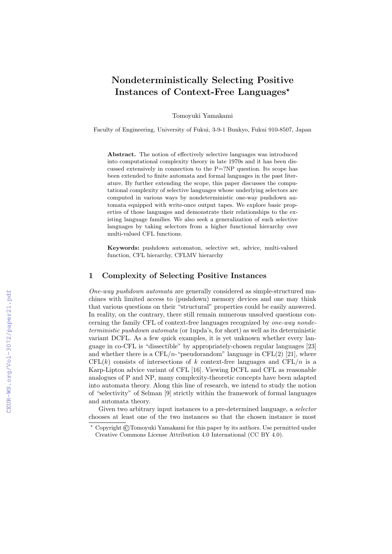# Nondeterministically Selecting Positive Instances of Context-Free Languages<sup>\*</sup>

Tomoyuki Yamakami

Faculty of Engineering, University of Fukui, 3-9-1 Bunkyo, Fukui 910-8507, Japan

Abstract. The notion of effectively selective languages was introduced into computational complexity theory in late 1970s and it has been discussed extensively in connection to the P=?NP question. Its scope has been extended to finite automata and formal languages in the past literature. By further extending the scope, this paper discusses the computational complexity of selective languages whose underlying selectors are computed in various ways by nondeterministic one-way pushdown automata equipped with write-once output tapes. We explore basic properties of those languages and demonstrate their relationships to the existing language families. We also seek a generalization of such selective languages by taking selectors from a higher functional hierarchy over multi-valued CFL functions.

Keywords: pushdown automaton, selective set, advice, multi-valued function, CFL hierarchy, CFLMV hierarchy

### 1 Complexity of Selecting Positive Instances

One-way pushdown automata are generally considered as simple-structured machines with limited access to (pushdown) memory devices and one may think that various questions on their "structural" properties could be easily answered. In reality, on the contrary, there still remain numerous unsolved questions concerning the family CFL of context-free languages recognized by one-way nondeterministic pushdown automata (or 1npda's, for short) as well as its deterministic variant DCFL. As a few quick examples, it is yet unknown whether every language in co-CFL is "dissectible" by appropriately-chosen regular languages [23] and whether there is a CFL/n-"pseudorandom" language in CFL(2) [21], where  $CFL(k)$  consists of intersections of k context-free languages and  $CFL/n$  is a Karp-Lipton advice variant of CFL [16]. Viewing DCFL and CFL as reasonable analogues of P and NP, many complexity-theoretic concepts have been adapted into automata theory. Along this line of research, we intend to study the notion of "selectivity" of Selman [9] strictly within the framework of formal languages and automata theory.

Given two arbitrary input instances to a pre-determined language, a selector chooses at least one of the two instances so that the chosen instance is most

<sup>?</sup> Copyright ©Tomoyuki Yamakami for this paper by its authors. Use permitted under Creative Commons License Attribution 4.0 International (CC BY 4.0).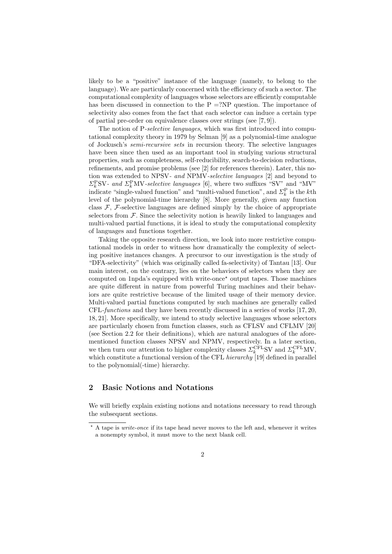likely to be a "positive" instance of the language (namely, to belong to the language). We are particularly concerned with the efficiency of such a sector. The computational complexity of languages whose selectors are efficiently computable has been discussed in connection to the  $P = ?NP$  question. The importance of selectivity also comes from the fact that each selector can induce a certain type of partial pre-order on equivalence classes over strings (see [7, 9]).

The notion of P-selective languages, which was first introduced into computational complexity theory in 1979 by Selman [9] as a polynomial-time analogue of Jockusch's semi-recursive sets in recursion theory. The selective languages have been since then used as an important tool in studying various structural properties, such as completeness, self-reducibility, search-to-decision reductions, refinements, and promise problems (see [2] for references therein). Later, this notion was extended to NPSV- and NPMV-selective languages [2] and beyond to  $\Sigma_k^{\text{P}}$ SV- and  $\Sigma_k^{\text{P}}$ MV-selective languages [6], where two suffixes "SV" and "MV" indicate "single-valued function" and "multi-valued function", and  $\Sigma_k^{\text{P}}$  is the *k*<sup>th</sup> level of the polynomial-time hierarchy [8]. More generally, given any function class  $\mathcal{F}$ ,  $\mathcal{F}$ -selective languages are defined simply by the choice of appropriate selectors from  $\mathcal F$ . Since the selectivity notion is heavily linked to languages and multi-valued partial functions, it is ideal to study the computational complexity of languages and functions together.

Taking the opposite research direction, we look into more restrictive computational models in order to witness how dramatically the complexity of selecting positive instances changes. A precursor to our investigation is the study of "DFA-selectivity" (which was originally called fa-selectivity) of Tantau [13]. Our main interest, on the contrary, lies on the behaviors of selectors when they are computed on 1npda's equipped with write-once<sup> $\star$ </sup> output tapes. Those machines are quite different in nature from powerful Turing machines and their behaviors are quite restrictive because of the limited usage of their memory device. Multi-valued partial functions computed by such machines are generally called CFL-functions and they have been recently discussed in a series of works [17, 20, 18, 21]. More specifically, we intend to study selective languages whose selectors are particularly chosen from function classes, such as CFLSV and CFLMV [20] (see Section 2.2 for their definitions), which are natural analogues of the aforementioned function classes NPSV and NPMV, respectively. In a later section, we then turn our attention to higher complexity classes  $\Sigma_k^{\text{CFL}}$ SV and  $\Sigma_k^{\text{CFL}}$ MV, which constitute a functional version of the CFL hierarchy [19] defined in parallel to the polynomial(-time) hierarchy.

# 2 Basic Notions and Notations

We will briefly explain existing notions and notations necessary to read through the subsequent sections.

 $*$  A tape is *write-once* if its tape head never moves to the left and, whenever it writes a nonempty symbol, it must move to the next blank cell.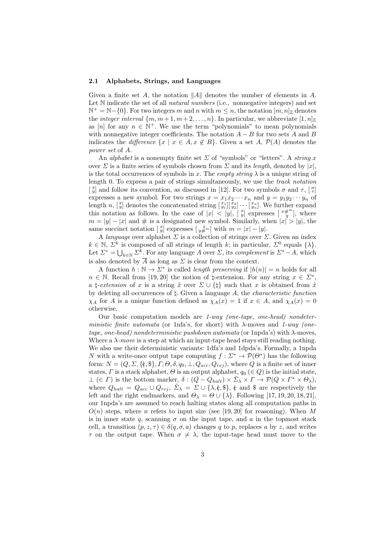#### 2.1 Alphabets, Strings, and Languages

Given a finite set A, the notation  $||A||$  denotes the number of elements in A. Let N indicate the set of all *natural numbers* (i.e., nonnegative integers) and set  $\mathbb{N}^+ = \mathbb{N} - \{0\}$ . For two integers m and n with  $m \leq n$ , the notation  $[m, n]_{\mathbb{Z}}$  denotes the *integer interval*  $\{m, m+1, m+2, \ldots, n\}$ . In particular, we abbreviate  $[1, n]_{\mathbb{Z}}$ as [n] for any  $n \in \mathbb{N}^+$ . We use the term "polynomials" to mean polynomials with nonnegative integer coefficients. The notation  $A - B$  for two sets A and B indicates the difference  $\{x \mid x \in A, x \notin B\}$ . Given a set A,  $\mathcal{P}(A)$  denotes the power set of A.

An *alphabet* is a nonempty finite set  $\Sigma$  of "symbols" or "letters". A *string* x over  $\Sigma$  is a finite series of symbols chosen from  $\Sigma$  and its length, denoted by |x|, is the total occurrences of symbols in x. The *empty string*  $\lambda$  is a unique string of length 0. To express a pair of strings simultaneously, we use the track notation  $\begin{bmatrix} x \\ y \end{bmatrix}$  and follow its convention, as discussed in [12]. For two symbols  $\sigma$  and  $\tau$ ,  $\begin{bmatrix} \sigma \\ \tau \end{bmatrix}$ expresses a new symbol. For two strings  $x = x_1x_2 \cdots x_n$  and  $y = y_1y_2 \cdots y_n$  of length n,  $\begin{bmatrix} x_1 \\ y_1 \end{bmatrix}$  denotes the concatenated string  $\begin{bmatrix} x_1 \\ y_1 \end{bmatrix} \begin{bmatrix} x_2 \\ y_2 \end{bmatrix} \cdots \begin{bmatrix} x_n \\ y_n \end{bmatrix}$ . We further expand this notation as follows. In the case of  $|x| < |y|$ ,  $\left[\frac{x}{y}\right]$  expresses  $\left[\frac{x+m}{y}\right]$ , where  $m = |y| - |x|$  and # is a designated new symbol. Similarly, when  $|x| > |y|$ , the same succinct notation  $\begin{bmatrix} x \\ y \end{bmatrix}$  expresses  $\begin{bmatrix} x \\ y \end{bmatrix}$  with  $m = |x| - |y|$ .

A *language* over alphabet  $\Sigma$  is a collection of strings over  $\Sigma$ . Given an index  $k \in \mathbb{N}, \ \Sigma^k$  is composed of all strings of length k; in particular,  $\Sigma^0$  equals  $\{\lambda\}.$ Let  $\Sigma^* = \bigcup_{k \in \mathbb{N}} \Sigma^k$ . For any language A over  $\Sigma$ , its *complement* is  $\Sigma^* - A$ , which is also denoted by  $\overline{A}$  as long as  $\Sigma$  is clear from the context.

A function  $h : \mathbb{N} \to \Sigma^*$  is called *length preserving* if  $|h(n)| = n$  holds for all  $n \in \mathbb{N}$ . Recall from [19, 20] the notion of  $\natural$ -extension. For any string  $x \in \Sigma^*$ , a  $\sharp$ -extension of x is a string  $\tilde{x}$  over  $\Sigma \cup {\{\,\!\!\mathrm{I}\}\!\!\}}$  such that x is obtained from  $\tilde{x}$ by deleting all occurrences of  $\sharp$ . Given a language A, the *characteristic function*  $\chi_A$  for A is a unique function defined as  $\chi_A(x) = 1$  if  $x \in A$ , and  $\chi_A(x) = 0$ otherwise.

Our basic computation models are 1-way (one-tape, one-head) nondeterministic finite automata (or 1nfa's, for short) with  $\lambda$ -moves and 1-way (onetape, one-head) nondeterministic pushdown automata (or 1npda's) with  $\lambda$ -moves. Where a  $\lambda$ -move is a step at which an input-tape head stays still reading nothing. We also use their deterministic variants: 1dfa's and 1dpda's. Formally, a 1npda N with a write-once output tape computing  $f: \Sigma^* \to \mathcal{P}(\Theta^*)$  has the following form:  $N = (Q, \Sigma, \{\mathfrak{e}, \mathfrak{F}\}, F, \Theta, \delta, q_0, \bot, Q_{acc}, Q_{rej})$ , where Q is a finite set of inner states,  $\Gamma$  is a stack alphabet,  $\Theta$  is an output alphabet,  $q_0 \in Q$ ) is the initial state,  $\bot (\in \Gamma)$  is the bottom marker,  $\delta : (Q - Q_{halt}) \times \check{\Sigma}_{\lambda} \times \Gamma \to \mathcal{P}(Q \times \Gamma^* \times \Theta_{\lambda}),$ where  $Q_{halt} = Q_{acc} \cup Q_{rej}, \Sigma_{\lambda} = \Sigma \cup \{\lambda, \xi, \xi\}, \xi$  and \$ are respectively the left and the right endmarkers, and  $\Theta_{\lambda} = \Theta \cup \{\lambda\}$ . Following [17, 19, 20, 18, 21], our 1npda's are assumed to reach halting states along all computation paths in  $O(n)$  steps, where n refers to input size (see [19, 20] for reasoning). When M is in inner state q, scanning  $\sigma$  on the input tape, and a in the topmost stack cell, a transition  $(p, z, \tau) \in \delta(q, \sigma, a)$  changes q to p, replaces a by z, and writes  $\tau$  on the output tape. When  $\sigma \neq \lambda$ , the input-tape head must move to the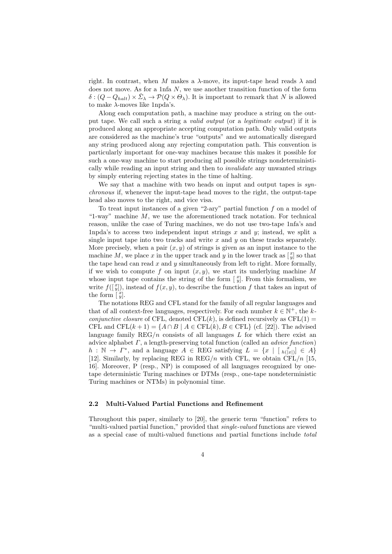right. In contrast, when M makes a  $\lambda$ -move, its input-tape head reads  $\lambda$  and does not move. As for a 1nfa  $N$ , we use another transition function of the form  $\delta : (Q - Q_{halt}) \times \check{\Sigma}_{\lambda} \to \mathcal{P}(Q \times \Theta_{\lambda}).$  It is important to remark that N is allowed to make  $\lambda$ -moves like 1npda's.

Along each computation path, a machine may produce a string on the output tape. We call such a string a valid output (or a legitimate output) if it is produced along an appropriate accepting computation path. Only valid outputs are considered as the machine's true "outputs" and we automatically disregard any string produced along any rejecting computation path. This convention is particularly important for one-way machines because this makes it possible for such a one-way machine to start producing all possible strings nondeterministically while reading an input string and then to invalidate any unwanted strings by simply entering rejecting states in the time of halting.

We say that a machine with two heads on input and output tapes is synchronous if, whenever the input-tape head moves to the right, the output-tape head also moves to the right, and vice visa.

To treat input instances of a given "2-ary" partial function f on a model of "1-way" machine  $M$ , we use the aforementioned track notation. For technical reason, unlike the case of Turing machines, we do not use two-tape 1nfa's and 1npda's to access two independent input strings x and y; instead, we split a single input tape into two tracks and write  $x$  and  $y$  on these tracks separately. More precisely, when a pair  $(x, y)$  of strings is given as an input instance to the machine M, we place x in the upper track and y in the lower track as  $\begin{bmatrix} x \\ y \end{bmatrix}$  so that the tape head can read x and y simultaneously from left to right. More formally, if we wish to compute f on input  $(x, y)$ , we start its underlying machine M whose input tape contains the string of the form  $\left[\begin{array}{c} x \\ y \end{array}\right]$ . From this formalism, we write  $f(\begin{bmatrix} x \\ y \end{bmatrix})$ , instead of  $f(x, y)$ , to describe the function f that takes an input of the form  $\begin{bmatrix} x \\ y \end{bmatrix}$ .

The notations REG and CFL stand for the family of all regular languages and that of all context-free languages, respectively. For each number  $k \in \mathbb{N}^+$ , the k*conjunctive closure* of CFL, denoted CFL $(k)$ , is defined recursively as CFL $(1)$  = CFL and CFL $(k + 1) = \{A \cap B \mid A \in \text{CFL}(k), B \in \text{CFL}\}\$  (cf. [22]). The advised language family  $REG/n$  consists of all languages  $L$  for which there exist an advice alphabet  $\Gamma$ , a length-preserving total function (called an *advice function*)  $h : \mathbb{N} \to \Gamma^*$ , and a language  $A \in \text{REG}$  satisfying  $L = \{x \mid [h(x)] \in A\}$ [12]. Similarly, by replacing REG in REG/n with CFL, we obtain CFL/n [15, 16]. Moreover, P (resp., NP) is composed of all languages recognized by onetape deterministic Turing machines or DTMs (resp., one-tape nondeterministic Turing machines or NTMs) in polynomial time.

#### 2.2 Multi-Valued Partial Functions and Refinement

Throughout this paper, similarly to [20], the generic term "function" refers to "multi-valued partial function," provided that *single-valued* functions are viewed as a special case of multi-valued functions and partial functions include total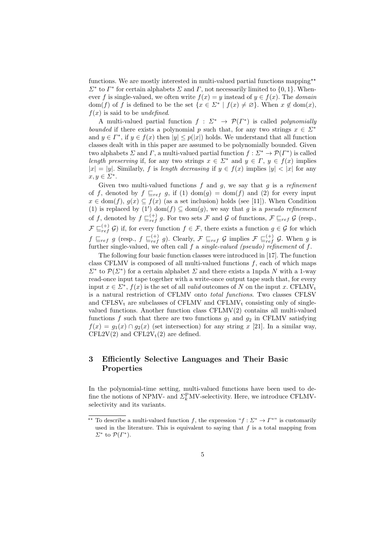functions. We are mostly interested in multi-valued partial functions mapping<sup>\*\*</sup>  $\Sigma^*$  to  $\Gamma^*$  for certain alphabets  $\Sigma$  and  $\Gamma$ , not necessarily limited to  $\{0, 1\}$ . Whenever f is single-valued, we often write  $f(x) = y$  instead of  $y \in f(x)$ . The *domain* dom(f) of f is defined to be the set  $\{x \in \Sigma^* \mid f(x) \neq \emptyset\}$ . When  $x \notin \text{dom}(x)$ ,  $f(x)$  is said to be *undefined*.

A multi-valued partial function  $f: \Sigma^* \to \mathcal{P}(\Gamma^*)$  is called polynomially bounded if there exists a polynomial p such that, for any two strings  $x \in \Sigma^*$ and  $y \in \Gamma^*$ , if  $y \in f(x)$  then  $|y| \leq p(|x|)$  holds. We understand that all function classes dealt with in this paper are assumed to be polynomially bounded. Given two alphabets  $\Sigma$  and  $\Gamma$ , a multi-valued partial function  $f: \Sigma^* \to \mathcal{P}(\Gamma^*)$  is called length preserving if, for any two strings  $x \in \Sigma^*$  and  $y \in \Gamma$ ,  $y \in f(x)$  implies  $|x| = |y|$ . Similarly, f is length decreasing if  $y \in f(x)$  implies  $|y| < |x|$  for any  $x, y \in \Sigma^*$ .

Given two multi-valued functions  $f$  and  $g$ , we say that  $g$  is a refinement of f, denoted by  $f\sqsubseteq_{ref} g$ , if (1) dom(g) = dom(f) and (2) for every input  $x \in \text{dom}(f), g(x) \subseteq f(x)$  (as a set inclusion) holds (see [11]). When Condition (1) is replaced by (1') dom(f)  $\subseteq$  dom(g), we say that g is a pseudo refinement of f, denoted by  $f\subseteq_{ref}^{(+)} g$ . For two sets F and G of functions,  $\mathcal{F}\sqsubseteq_{ref} \mathcal{G}$  (resp.,  $\mathcal{F} \subseteq_{ref}^{(+)} \mathcal{G}$ ) if, for every function  $f \in \mathcal{F}$ , there exists a function  $g \in \mathcal{G}$  for which  $f \sqsubseteq_{ref} g$  (resp.,  $f \sqsubseteq_{ref}^{(+)} g$ ). Clearly,  $\mathcal{F} \sqsubseteq_{ref} \mathcal{G}$  implies  $\mathcal{F} \sqsubseteq_{ref}^{(+)} \mathcal{G}$ . When g is further single-valued, we often call  $f$  a single-valued (pseudo) refinement of  $f$ .

The following four basic function classes were introduced in [17]. The function class CFLMV is composed of all multi-valued functions  $f$ , each of which maps  $\Sigma^*$  to  $\mathcal{P}(\Sigma^*)$  for a certain alphabet  $\Sigma$  and there exists a 1npda N with a 1-way read-once input tape together with a write-once output tape such that, for every input  $x \in \Sigma^*$ ,  $f(x)$  is the set of all *valid* outcomes of N on the input x. CFLMV<sub>t</sub> is a natural restriction of CFLMV onto total functions. Two classes CFLSV and  $CFLSV_t$  are subclasses of  $CFLMV$  and  $CFLMV_t$  consisting only of singlevalued functions. Another function class CFLMV(2) contains all multi-valued functions f such that there are two functions  $g_1$  and  $g_2$  in CFLMV satisfying  $f(x) = g_1(x) \cap g_2(x)$  (set intersection) for any string x [21]. In a similar way, CFL2V(2) and CFL2V<sub>t</sub>(2) are defined.

# 3 Efficiently Selective Languages and Their Basic Properties

In the polynomial-time setting, multi-valued functions have been used to define the notions of NPMV- and  $\Sigma_k^{\text{P}}$ MV-selectivity. Here, we introduce CFLMVselectivity and its variants.

<sup>\*\*</sup> To describe a multi-valued function f, the expression " $f : \Sigma^* \to \Gamma^{**}$ " is customarily used in the literature. This is equivalent to saying that  $f$  is a total mapping from  $\Sigma^*$  to  $\mathcal{P}(\Gamma^*)$ .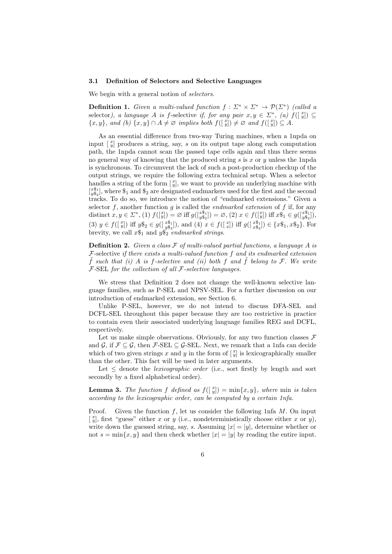#### 3.1 Definition of Selectors and Selective Languages

We begin with a general notion of *selectors*.

**Definition 1.** Given a multi-valued function  $f : \Sigma^* \times \Sigma^* \to \mathcal{P}(\Sigma^*)$  (called a selector), a language A is f-selective if, for any pair  $x, y \in \Sigma^*$ , (a)  $f(\begin{bmatrix} x \\ y \end{bmatrix}) \subseteq$  $\{x, y\}$ , and (b)  $\{x, y\} \cap A \neq \emptyset$  implies both  $f([\begin{matrix}x \\ y\end{matrix}]) \neq \emptyset$  and  $f([\begin{matrix}x \\ y\end{matrix}]) \subseteq A$ .

As an essential difference from two-way Turing machines, when a 1npda on input  $\begin{bmatrix} x \\ y \end{bmatrix}$  produces a string, say, s on its output tape along each computation path, the 1npda cannot scan the passed tape cells again and thus there seems no general way of knowing that the produced string  $s$  is  $x$  or  $y$  unless the 1npda is synchronous. To circumvent the lack of such a post-production checkup of the output strings, we require the following extra technical setup. When a selector handles a string of the form  $\begin{bmatrix} x \\ y \end{bmatrix}$ , we want to provide an underlying machine with  $[x_{y_{2}^{6}]$ , where  $\S_1$  and  $\S_2$  are designated endmarkers used for the first and the second tracks. To do so, we introduce the notion of "endmarked extensions." Given a selector  $f$ , another function  $g$  is called the *endmarked extension* of  $f$  if, for any distinct  $x, y \in \Sigma^*$ , (1)  $f([y]) = \varnothing$  iff  $g([y_{s_2}^{s_1}]) = \varnothing$ , (2)  $x \in f([y])$  iff  $x \hat{\mathfrak{s}}_1 \in g([y_{s_2}^{s_1}]),$ (3)  $y \in f([\begin{matrix} x \ y \end{matrix}])$  iff  $y\$\_2 \in g([\begin{matrix} x\$\_1] \\ y\$\_2] \end{matrix})$ , and (4)  $x \in f([\begin{matrix} x \ x \end{matrix}])$  iff  $g([\begin{matrix} x\$\_1] \\ x\$\_2] \end{matrix}) \in \{x\$\_1, x\$\_2\}$ . For brevity, we call  $x\$_1$  and  $y\$_2$  endmarked strings.

**Definition 2.** Given a class  $\mathcal F$  of multi-valued partial functions, a language A is  $F$ -selective if there exists a multi-valued function  $f$  and its endmarked extension  $\hat{f}$  such that (i) A is f-selective and (ii) both f and  $\hat{f}$  belong to F. We write  $F$ -SEL for the collection of all  $F$ -selective languages.

We stress that Definition 2 does not change the well-known selective language families, such as P-SEL and NPSV-SEL. For a further discussion on our introduction of endmarked extension, see Section 6.

Unlike P-SEL, however, we do not intend to discuss DFA-SEL and DCFL-SEL throughout this paper because they are too restrictive in practice to contain even their associated underlying language families REG and DCFL, respectively.

Let us make simple observations. Obviously, for any two function classes  $\mathcal F$ and G, if  $\mathcal{F} \subseteq \mathcal{G}$ , then  $\mathcal{F}\text{-SEL} \subseteq \mathcal{G}\text{-SEL}$ . Next, we remark that a 1nfa can decide which of two given strings x and y in the form of  $\begin{bmatrix} x \\ y \end{bmatrix}$  is lexicographically smaller than the other. This fact will be used in later arguments.

Let  $\leq$  denote the *lexicographic order* (i.e., sort firstly by length and sort secondly by a fixed alphabetical order).

**Lemma 3.** The function f defined as  $f(\begin{bmatrix} x \\ y \end{bmatrix}) = \min\{x, y\}$ , where  $\min$  is taken according to the lexicographic order, can be computed by a certain 1nfa.

Proof. Given the function f, let us consider the following 1nfa  $M$ . On input  $\begin{bmatrix} x \\ y \end{bmatrix}$ , first "guess" either x or y (i.e., nondeterministically choose either x or y), write down the guessed string, say, s. Assuming  $|x| = |y|$ , determine whether or not  $s = \min\{x, y\}$  and then check whether  $|x| = |y|$  by reading the entire input.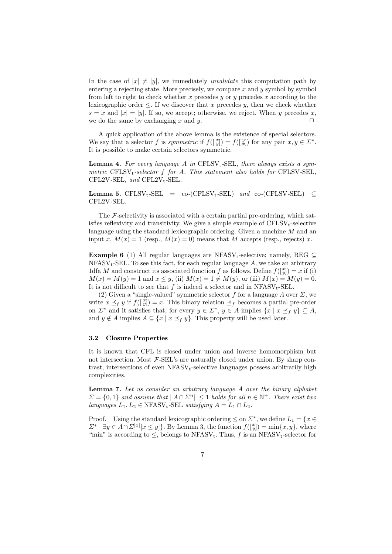In the case of  $|x| \neq |y|$ , we immediately *invalidate* this computation path by entering a rejecting state. More precisely, we compare  $x$  and  $y$  symbol by symbol from left to right to check whether  $x$  precedes  $y$  or  $y$  precedes  $x$  according to the lexicographic order  $\leq$ . If we discover that x precedes y, then we check whether  $s = x$  and  $|x| = |y|$ . If so, we accept; otherwise, we reject. When y precedes x, we do the same by exchanging x and y.  $\square$ 

A quick application of the above lemma is the existence of special selectors. We say that a selector f is symmetric if  $f(\begin{bmatrix} x \\ y \end{bmatrix}) = f(\begin{bmatrix} y \\ x \end{bmatrix})$  for any pair  $x, y \in \Sigma^*$ . It is possible to make certain selectors symmetric.

**Lemma 4.** For every language A in CFLSV<sub>t</sub>-SEL, there always exists a symmetric  $CFLSV<sub>t</sub>-selection f for A. This statement also holds for CFLSV-SEL,$  $CFL2V-SEL$ , and  $CFL2V_t-SEL$ .

**Lemma 5.** CFLSV<sub>t</sub>-SEL = co-(CFLSV<sub>t</sub>-SEL) and co-(CFLSV-SEL)  $\subseteq$ CFL2V-SEL.

The  $\mathcal{F}\text{-selectivity}$  is associated with a certain partial pre-ordering, which satisfies reflexivity and transitivity. We give a simple example of  $CFLSV_t$ -selective language using the standard lexicographic ordering. Given a machine M and an input x,  $M(x) = 1$  (resp.,  $M(x) = 0$ ) means that M accepts (resp., rejects) x.

**Example 6** (1) All regular languages are NFASV<sub>t</sub>-selective; namely, REG  $\subseteq$  $NFAST_t-SEL$ . To see this fact, for each regular language A, we take an arbitrary 1dfa M and construct its associated function f as follows. Define  $f([y]) = x$  if (i)  $M(x) = M(y) = 1$  and  $x \leq y$ , (ii)  $M(x) = 1 \neq M(y)$ , or (iii)  $M(x) = M(y) = 0$ . It is not difficult to see that f is indeed a selector and in  $NFAST_t-SEL$ .

(2) Given a "single-valued" symmetric selector f for a language A over  $\Sigma$ , we write  $x \preceq_f y$  if  $f([\frac{x}{y}]) = x$ . This binary relation  $\preceq_f$  becomes a partial pre-order on  $\Sigma^*$  and it satisfies that, for every  $y \in \Sigma^*$ ,  $y \in A$  implies  $\{x \mid x \preceq_f y\} \subseteq A$ , and  $y \notin A$  implies  $A \subseteq \{x \mid x \preceq_f y\}$ . This property will be used later.

#### 3.2 Closure Properties

It is known that CFL is closed under union and inverse homomorphism but not intersection. Most  $F$ -SEL's are naturally closed under union. By sharp contrast, intersections of even  $NFASV<sub>t</sub>$ -selective languages possess arbitrarily high complexities.

Lemma 7. Let us consider an arbitrary language A over the binary alphabet  $\Sigma = \{0,1\}$  and assume that  $||A \cap \Sigma^n|| \leq 1$  holds for all  $n \in \mathbb{N}^+$ . There exist two languages  $L_1, L_2 \in \text{NFAST}_t\text{-SEL}$  satisfying  $A = L_1 \cap L_2$ .

Proof. Using the standard lexicographic ordering  $\leq$  on  $\Sigma^*$ , we define  $L_1 = \{x \in$  $\Sigma^* \mid \exists y \in A \cap \Sigma^{|x|}[x \leq y]$ . By Lemma 3, the function  $f([\begin{matrix}x\\ y\end{matrix}]) = \min\{x, y\}$ , where "min" is according to  $\leq$ , belongs to NFASV<sub>t</sub>. Thus, f is an NFASV<sub>t</sub>-selector for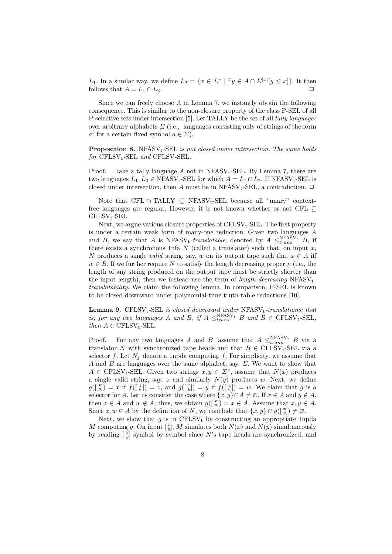L<sub>1</sub>. In a similar way, we define  $L_2 = \{x \in \Sigma^* \mid \exists y \in A \cap \Sigma^{|x|}[y \leq x]\}.$  It then follows that  $A = L_1 \cap L_2$ .

Since we can freely choose  $A$  in Lemma 7, we instantly obtain the following consequence. This is similar to the non-closure property of the class P-SEL of all P-selective sets under intersection [5]. Let TALLY be the set of all tally languages over arbitrary alphabets  $\Sigma$  (i.e., languages consisting only of strings of the form  $a^i$  for a certain fixed symbol  $a \in \Sigma$ ).

**Proposition 8.** NFASV<sub>t</sub>-SEL is not closed under intersection. The same holds  $for$  CFLSV<sub>t</sub>-SEL and CFLSV-SEL.

Proof. Take a tally language A not in  $NFAST_{t-}SEL$ . By Lemma 7, there are two languages  $L_1, L_2 \in \text{NFAST}_t\text{-SEL}$  for which  $A = L_1 \cap L_2$ . If  $\text{NFAST}_t\text{-SEL}$  is closed under intersection, then A must be in  $NFAST_t-SEL$ , a contradiction.  $\Box$ 

Note that CFL ∩ TALLY  $\subseteq$  NFASV<sub>t</sub>-SEL because all "unary" contextfree languages are regular. However, it is not known whether or not CFL  $\subset$  $CFLSV_t-SEL.$ 

Next, we argue various closure properties of  $CFLSV_t-SEL$ . The first property is under a certain weak form of many-one reduction. Given two languages A and B, we say that A is  $NFAST_t\text{-}translatable$ , denoted by  $A \leq_{trans}^{NFAST_t} B$ , if there exists a synchronous 1nfa  $N$  (called a translator) such that, on input  $x$ , N produces a single *valid* string, say, w on its output tape such that  $x \in A$  iff  $w \in B$ . If we further require N to satisfy the length decreasing property (i.e., the length of any string produced on the output tape must be strictly shorter than the input length), then we instead use the term of *length-decreasing*  $NFAST_t$ translatability. We claim the following lemma. In comparison, P-SEL is known to be closed downward under polynomial-time truth-table reductions [10].

**Lemma 9.** CFLSV<sub>t</sub>-SEL is closed downward under  $NFSN_t$ -translations; that is, for any two languages A and B, if  $A \leq_{trans}^{\text{NFAST}} B$  and  $B \in \text{CFLSV}_t\text{-SEL}$ , then  $A \in \text{CFLSV}_t\text{-SEL}.$ 

Proof. For any two languages A and B, assume that  $A \leq_{trans}^{NFAST_t} B$  via a translator N with synchronized tape heads and that  $B \in \text{CFLSV}_t\text{-SEL}$  via a selector f. Let  $N_f$  denote a 1npda computing f. For simplicity, we assume that A and B are languages over the same alphabet, say,  $\Sigma$ . We want to show that  $A \in \text{CFLSV}_t\text{-SEL}$ . Given two strings  $x, y \in \Sigma^*$ , assume that  $N(x)$  produces a single valid string, say,  $z$  and similarly  $N(y)$  produces w. Next, we define  $g([x,y]) = x$  if  $f([x,y]) = z$ , and  $g([x,y]) = y$  if  $f([x,y]) = w$ . We claim that g is a selector for A. Let us consider the case where  $\{x, y\} \cap A \neq \emptyset$ . If  $x \in A$  and  $y \notin A$ , then  $z \in A$  and  $w \notin A$ ; thus, we obtain  $g(\begin{bmatrix} x \\ y \end{bmatrix}) = x \in A$ . Assume that  $x, y \in A$ . Since  $z, w \in A$  by the definition of N, we conclude that  $\{x, y\} \cap g([\begin{matrix}x\\ y\end{matrix}]) \neq \emptyset$ .

Next, we show that  $g$  is in CFLSV<sub>t</sub> by constructing an appropriate 1npda M computing g. On input  $\left[\begin{array}{c} x \\ y \end{array}\right]$ , M simulates both  $N(x)$  and  $N(y)$  simultaneously by reading  $\begin{bmatrix} x \\ y \end{bmatrix}$  symbol by symbol since N's tape heads are synchronized, and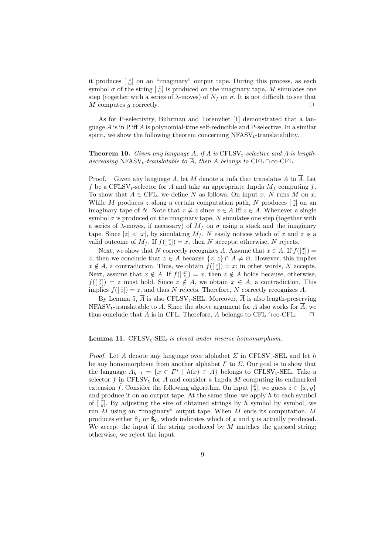it produces  $\begin{bmatrix} z \\ w \end{bmatrix}$  on an "imaginary" output tape. During this process, as each symbol  $\sigma$  of the string  $\left[\begin{array}{c} z \\ w \end{array}\right]$  is produced on the imaginary tape, M simulates one step (together with a series of  $\lambda$ -moves) of  $N_f$  on  $\sigma$ . It is not difficult to see that  $M$  computes g correctly.

As for P-selectivity, Buhrman and Torenvliet [1] demonstrated that a language  $A$  is in P iff  $A$  is polynomial-time self-reducible and P-selective. In a similar spirit, we show the following theorem concerning  $NFAST_t$ -translatability.

**Theorem 10.** Given any language A, if A is  $CFLSV_t\text{-}selective$  and A is lengthdecreasing NFASV<sub>t</sub>-translatable to  $\overline{A}$ , then A belongs to CFL ∩ co-CFL.

Proof. Given any language A, let M denote a 1nfa that translates A to  $\overline{A}$ . Let f be a CFLSV<sub>t</sub>-selector for A and take an appropriate 1npda  $M_f$  computing f. To show that  $A \in \text{CFL}$ , we define N as follows. On input x, N runs M on x. While M produces z along a certain computation path, N produces  $\begin{bmatrix} x \\ z \end{bmatrix}$  on an imaginary tape of N. Note that  $x \neq z$  since  $x \in A$  iff  $z \in \overline{A}$ . Whenever a single symbol  $\sigma$  is produced on the imaginary tape, N simulates one step (together with a series of  $\lambda$ -moves, if necessary) of  $M_f$  on  $\sigma$  using a stack and the imaginary tape. Since  $|z| < |x|$ , by simulating  $M_f$ , N easily notices which of x and z is a valid outcome of  $M_f$ . If  $f(\lfloor \frac{x}{z} \rfloor) = x$ , then N accepts; otherwise, N rejects.

Next, we show that N correctly recognizes A. Assume that  $x \in A$ . If  $f(\begin{bmatrix} x \\ z \end{bmatrix}) =$ z, then we conclude that  $z \in A$  because  $\{x, z\} \cap A \neq \emptyset$ . However, this implies  $x \notin A$ , a contradiction. Thus, we obtain  $f(\begin{bmatrix} x \\ z \end{bmatrix}) = x$ ; in other words, N accepts. Next, assume that  $x \notin A$ . If  $f(\lfloor \frac{x}{z} \rfloor) = x$ , then  $z \notin A$  holds because, otherwise,  $f([x]) = z$  must hold. Since  $z \notin A$ , we obtain  $x \in A$ , a contradiction. This implies  $f(\begin{bmatrix} x \\ z \end{bmatrix}) = z$ , and thus N rejects. Therefore, N correctly recognizes A.

By Lemma 5,  $\overline{A}$  is also CFLSV<sub>t</sub>-SEL. Moreover,  $\overline{A}$  is also length-preserving NFASV<sub>t</sub>-translatable to A. Since the above argument for A also works for  $\overline{A}$ , we thus conclude that  $\overline{A}$  is in CFL. Therefore, A belongs to CFL ∩ co-CFL.  $\Box$ 

#### **Lemma 11.** CFLSV<sub>t</sub>-SEL is closed under inverse homomorphism.

*Proof.* Let A denote any language over alphabet  $\Sigma$  in CFLSV<sub>t</sub>-SEL and let h be any homomorphism from another alphabet  $\Gamma$  to  $\Sigma$ . Our goal is to show that the language  $A_{h^{-1}} = \{x \in \Gamma^* \mid h(x) \in A\}$  belongs to CFLSV<sub>t</sub>-SEL. Take a selector  $f$  in CFLSV<sub>t</sub> for A and consider a 1npda  $M$  computing its endmarked extension  $\tilde{f}$ . Consider the following algorithm. On input  $\begin{bmatrix} x \\ y \end{bmatrix}$ , we guess  $z \in \{x, y\}$ and produce it on an output tape. At the same time, we apply  $h$  to each symbol of  $\left[\begin{array}{c} x \ y \end{array}\right]$ . By adjusting the size of obtained strings by h symbol by symbol, we run  $M$  using an "imaginary" output tape. When  $M$  ends its computation,  $M$ produces either  $\$_1$  or  $\$_2$ , which indicates which of x and y is actually produced. We accept the input if the string produced by  $M$  matches the guessed string; otherwise, we reject the input.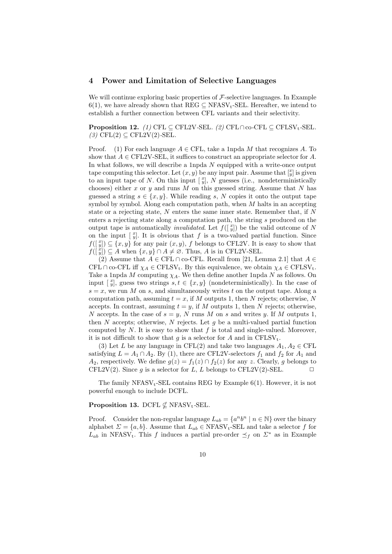#### 4 Power and Limitation of Selective Languages

We will continue exploring basic properties of  $\mathcal F$ -selective languages. In Example 6(1), we have already shown that REG  $\subseteq$  NFASV<sub>t</sub>-SEL. Hereafter, we intend to establish a further connection between CFL variants and their selectivity.

**Proposition 12.** (1) CFL ⊂ CFL2V-SEL. (2) CFL∩co-CFL ⊂ CFLSV<sub>t-</sub>SEL.  $(3)$  CFL $(2) \subseteq$  CFL2V $(2)$ -SEL.

Proof. (1) For each language  $A \in \text{CFL}$ , take a 1npda M that recognizes A. To show that  $A \in \text{CFL2V-SEL}$ , it suffices to construct an appropriate selector for A. In what follows, we will describe a 1npda  $N$  equipped with a write-once output tape computing this selector. Let  $(x, y)$  be any input pair. Assume that  $\begin{bmatrix} x \\ y \end{bmatrix}$  is given to an input tape of N. On this input  $\left[\begin{array}{c} x \\ y \end{array}\right]$ , N guesses (i.e., nondeterministically chooses) either x or y and runs M on this guessed string. Assume that N has guessed a string  $s \in \{x, y\}$ . While reading s, N copies it onto the output tape symbol by symbol. Along each computation path, when  $M$  halts in an accepting state or a rejecting state,  $N$  enters the same inner state. Remember that, if  $N$ enters a rejecting state along a computation path, the string s produced on the output tape is automatically *invalidated*. Let  $f(\begin{bmatrix} x \\ y \end{bmatrix})$  be the valid outcome of N on the input  $\left[\begin{array}{c} x \ y \end{array}\right]$ . It is obvious that f is a two-valued partial function. Since  $f(\begin{bmatrix} x \\ y \end{bmatrix}) \subseteq \{x, y\}$  for any pair  $(x, y)$ , f belongs to CFL2V. It is easy to show that  $f([y]) \subseteq A$  when  $\{x, y\} \cap A \neq \emptyset$ . Thus, A is in CFL2V-SEL.

(2) Assume that  $A \in \text{CFL} \cap \text{co-CFL}$ . Recall from [21, Lemma 2.1] that  $A \in$ CFL  $\cap$  co-CFL iff  $\chi_A \in \text{CFLSV}_t$ . By this equivalence, we obtain  $\chi_A \in \text{CFLSV}_t$ . Take a 1npda M computing  $\chi_A$ . We then define another 1npda N as follows. On input  $\begin{bmatrix} x \\ y \end{bmatrix}$ , guess two strings  $s, t \in \{x, y\}$  (nondeterministically). In the case of  $s = x$ , we run M on s, and simultaneously writes t on the output tape. Along a computation path, assuming  $t = x$ , if M outputs 1, then N rejects; otherwise, N accepts. In contrast, assuming  $t = y$ , if M outputs 1, then N rejects; otherwise, N accepts. In the case of  $s = y$ , N runs M on s and writes y. If M outputs 1, then N accepts; otherwise, N rejects. Let  $g$  be a multi-valued partial function computed by  $N$ . It is easy to show that  $f$  is total and single-valued. Moreover, it is not difficult to show that q is a selector for A and in  $\text{CFLSV}_t$ .

(3) Let L be any language in CFL(2) and take two languages  $A_1, A_2 \in \text{CFL}$ satisfying  $L = A_1 \cap A_2$ . By (1), there are CFL2V-selectors  $f_1$  and  $f_2$  for  $A_1$  and  $A_2$ , respectively. We define  $g(z) = f_1(z) \cap f_2(z)$  for any z. Clearly, g belongs to CFL2V(2). Since g is a selector for L, L belongs to CFL2V(2)-SEL.

The family  $NFAST_t-SEL$  contains REG by Example  $6(1)$ . However, it is not powerful enough to include DCFL.

#### Proposition 13. DCFL  $\nsubseteq$  NFASV<sub>t</sub>-SEL.

Proof. Consider the non-regular language  $L_{ab} = \{a^n b^n \mid n \in \mathbb{N}\}\$  over the binary alphabet  $\Sigma = \{a, b\}$ . Assume that  $L_{ab} \in \text{NFAST}_t\text{-SEL}$  and take a selector f for  $L_{ab}$  in NFASV<sub>t</sub>. This f induces a partial pre-order  $\preceq_f$  on  $\Sigma^*$  as in Example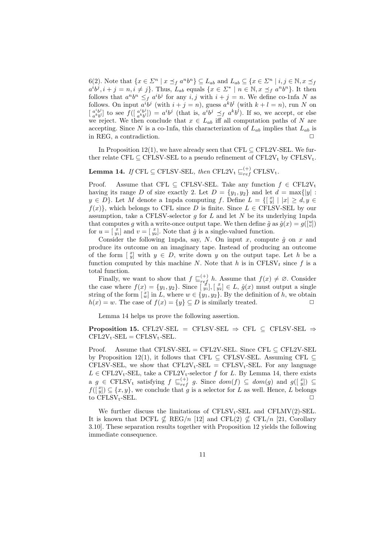6(2). Note that  $\{x \in \Sigma^n \mid x \preceq_f a^n b^n\} \subseteq L_{ab}$  and  $L_{ab} \subseteq \{x \in \Sigma^n \mid i, j \in \mathbb{N}, x \preceq_f a^n b^n\}$  $a^i b^j, i + j = n, i \neq j$ . Thus,  $L_{ab}$  equals  $\{x \in \Sigma^* \mid n \in \mathbb{N}, x \preceq_f a^n b^n\}$ . It then follows that  $a^n b^n \leq f a^i b^j$  for any  $i, j$  with  $i + j = n$ . We define co-1nfa N as follows. On input  $a^i b^j$  (with  $i + j = n$ ), guess  $a^k b^l$  (with  $k + l = n$ ), run N on  $\begin{bmatrix} a^i b^j \\ -k_l b^j \end{bmatrix}$  $\begin{bmatrix} a^i b^j \\ a^k b^l \end{bmatrix}$  to see  $f\begin{bmatrix} a^i b^j \\ a^k b^l \end{bmatrix}$  $\binom{a^i b^j}{a^k b^l}$  =  $a^i b^j$  (that is,  $a^i b^j \preceq_f a^k b^l$ ). If so, we accept, or else we reject. We then conclude that  $x \in L_{ab}$  iff all computation paths of N are accepting. Since N is a co-1nfa, this characterization of  $L_{ab}$  implies that  $L_{ab}$  is in REG, a contradiction.  $\Box$ 

In Proposition 12(1), we have already seen that CFL  $\subset$  CFL2V-SEL. We further relate CFL  $\subseteq$  CFLSV-SEL to a pseudo refinement of CFL2V<sub>t</sub> by CFLSV<sub>t</sub>.

# **Lemma 14.** If CFL  $\subseteq$  CFLSV-SEL, then CFL2V<sub>t</sub>  $\subseteq_{ref}^{(+)}$  CFLSV<sub>t</sub>.

Proof. Assume that CFL  $\subseteq$  CFLSV-SEL. Take any function  $f \in \text{CFL2V}_t$ having its range D of size exactly 2. Let  $D = \{y_1, y_2\}$  and let  $d = \max\{|y|$ :  $y \in D$ . Let M denote a 1npda computing f. Define  $L = \{ \begin{bmatrix} x \\ y \end{bmatrix} | |x| \ge d, y \in$  $f(x)$ , which belongs to CFL since D is finite. Since  $L \in \text{CFLSV-SEL}$  by our assumption, take a CFLSV-selector  $g$  for  $L$  and let  $N$  be its underlying 1npda that computes g with a write-once output tape. We then define  $\tilde{g}$  as  $\hat{g}(x) = g(\begin{bmatrix} u \\ v \end{bmatrix})$ for  $u = \begin{bmatrix} x \\ y_1 \end{bmatrix}$  and  $v = \begin{bmatrix} x \\ y_2 \end{bmatrix}$ . Note that  $\hat{g}$  is a single-valued function.

Consider the following 1npda, say, N. On input x, compute  $\hat{g}$  on x and produce its outcome on an imaginary tape. Instead of producing an outcome of the form  $\begin{bmatrix} x \\ y \end{bmatrix}$  with  $y \in D$ , write down y on the output tape. Let h be a function computed by this machine N. Note that h is in  $\text{CFLSV}_t$  since f is a total function.

Finally, we want to show that  $f\subseteq_{ref}^{(+)} h$ . Assume that  $f(x) \neq \emptyset$ . Consider the case where  $f(x) = \{y_1, y_2\}$ . Since  $\begin{bmatrix} x \\ y_1 \end{bmatrix}$ ,  $\begin{bmatrix} x \\ y_2 \end{bmatrix} \in L$ ,  $\hat{g}(x)$  must output a single string of the form  $\left[\begin{array}{c} x \\ w \end{array}\right]$  in L, where  $w \in \{y_1, y_2\}$ . By the definition of h, we obtain  $h(x) = w$ . The case of  $f(x) = \{y\} \subseteq D$  is similarly treated.

Lemma 14 helps us prove the following assertion.

Proposition 15. CFL2V-SEL = CFLSV-SEL  $\Rightarrow$  CFL  $\subseteq$  CFLSV-SEL  $\Rightarrow$  $CFL2V_t-SEL = CFLSV_t-SEL.$ 

Proof. Assume that CFLSV-SEL = CFL2V-SEL. Since CFL  $\subseteq$  CFL2V-SEL by Proposition 12(1), it follows that CFL  $\subseteq$  CFLSV-SEL. Assuming CFL  $\subseteq$ CFLSV-SEL, we show that  $CFL2V_t-SEL = CFLSV_t-SEL$ . For any language  $L \in \text{CFL2V}_t\text{-SEL}$ , take a  $\text{CFL2V}_t\text{-selector } f$  for L. By Lemma 14, there exists a  $g \in \text{CFLSV}_t$  satisfying  $f \subseteq_{ref}^{(+)} g$ . Since  $dom(f) \subseteq dom(g)$  and  $g(\begin{bmatrix} x \ y \end{bmatrix}) \subseteq$  $f([y^x]) \subseteq \{x, y\}$ , we conclude that g is a selector for L as well. Hence, L belongs to CFLSV<sub>t</sub>-SEL.  $\Box$ 

We further discuss the limitations of  $CFLSV_t-SEL$  and  $CFLMV(2)-SEL$ . It is known that DCFL  $\nsubseteq \text{REG}/n$  [12] and CFL(2)  $\nsubseteq$  CFL/n [21, Corollary 3.10]. These separation results together with Proposition 12 yields the following immediate consequence.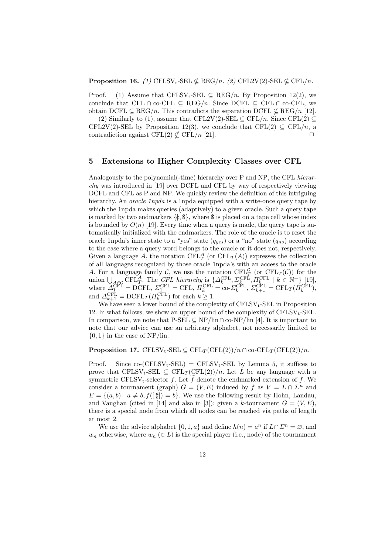**Proposition 16.** (1) CFLSV<sub>t</sub>-SEL  $\nsubseteq$  REG/n. (2) CFL2V(2)-SEL  $\nsubseteq$  CFL/n.

Proof. (1) Assume that CFLSV<sub>t</sub>-SEL  $\subseteq$  REG/n. By Proposition 12(2), we conclude that CFL ∩ co-CFL  $\subseteq$  REG/n. Since DCFL  $\subseteq$  CFL ∩ co-CFL, we obtain DCFL  $\subseteq \text{REG}/n$ . This contradicts the separation DCFL  $\nsubseteq \text{REG}/n$  [12].

(2) Similarly to (1), assume that CFL2V(2)-SEL  $\subset$  CFL/n. Since CFL(2)  $\subset$ CFL2V(2)-SEL by Proposition 12(3), we conclude that CFL(2)  $\subseteq$  CFL/n, a contradiction against  $\text{CFL}(2) \not\subset \text{CFL}/n$  [21].

## 5 Extensions to Higher Complexity Classes over CFL

Analogously to the polynomial(-time) hierarchy over P and NP, the CFL hierarchy was introduced in [19] over DCFL and CFL by way of respectively viewing DCFL and CFL as P and NP. We quickly review the definition of this intriguing hierarchy. An *oracle 1npda* is a 1npda equipped with a write-once query tape by which the 1npda makes queries (adaptively) to a given oracle. Such a query tape is marked by two endmarkers  $\{\xi, \xi\}$ , where  $\xi$  is placed on a tape cell whose index is bounded by  $O(n)$  [19]. Every time when a query is made, the query tape is automatically initialized with the endmarkers. The role of the oracle is to reset the oracle 1npda's inner state to a "yes" state  $(q_{yes})$  or a "no" state  $(q_{no})$  according to the case where a query word belongs to the oracle or it does not, respectively. Given a language A, the notation  $\text{CFL}_T^A$  (or  $\text{CFL}_T(A)$ ) expresses the collection of all languages recognized by those oracle 1npda's with an access to the oracle A. For a language family C, we use the notation  $\operatorname{CFL}^{\mathcal{C}}_T$  (or  $\operatorname{CFL}_T(\mathcal{C})$ ) for the union  $\bigcup_{A\in\mathcal{C}} \mathrm{CFL}_{T}^{A}$ . The CFL hierarchy is  $\{\Delta_{k}^{\mathrm{CFL}}, \Sigma_{k}^{\mathrm{CFL}}, \Pi_{k}^{\mathrm{CFL}} \mid k \in \mathbb{N}^{+}\}\$  [19], where  $\Delta_1^{\text{CFL}} = \text{DCFL}, \ \Sigma_1^{\text{CFL}} = \text{CFL}, \ \Pi_k^{\text{CFL}} = \text{co-}\Sigma_k^{\text{CFL}}, \ \Sigma_{k+1}^{\text{CFL}} = \text{CFL}_T(\Pi_k^{\text{CFL}}),$ and  $\Delta_{k+1}^{\text{CFL}} = \text{DCFL}_T(\Pi_k^{\text{CFL}})$  for each  $k \geq 1$ .

We have seen a lower bound of the complexity of  $CFLSV_t-SEL$  in Proposition 12. In what follows, we show an upper bound of the complexity of  $CFLSV_t-SEL$ . In comparison, we note that  $P-SEL \subseteq NP/lin \cap co-NP/lin [4]$ . It is important to note that our advice can use an arbitrary alphabet, not necessarily limited to  $\{0, 1\}$  in the case of NP/lin.

**Proposition 17.** CFLSV<sub>t</sub>-SEL  $\subseteq$  CFL<sub>T</sub>(CFL(2))/n ∩ co-CFL<sub>T</sub>(CFL(2))/n.

Proof. Since  $co$ -(CFLSV<sub>t</sub>-SEL) = CFLSV<sub>t</sub>-SEL by Lemma 5, it suffices to prove that CFLSV<sub>t</sub>-SEL  $\subseteq$  CFL<sub>T</sub>(CFL(2))/n. Let L be any language with a symmetric CFLSV<sub>t</sub>-selector f. Let  $\tilde{f}$  denote the endmarked extension of f. We consider a tournament (graph)  $G = (V, E)$  induced by f as  $V = L \cap \Sigma^n$  and  $E = \{(a, b) \mid a \neq b, f(\begin{bmatrix} a \\ b \end{bmatrix}) = b\}.$  We use the following result by Hohn, Landau, and Vaughan (cited in [14] and also in [3]): given a k-tournament  $G = (V, E)$ , there is a special node from which all nodes can be reached via paths of length at most 2.

We use the advice alphabet  $\{0, 1, a\}$  and define  $h(n) = a^n$  if  $L \cap \Sigma^n = \emptyset$ , and  $w_n$  otherwise, where  $w_n \in L$  is the special player (i.e., node) of the tournament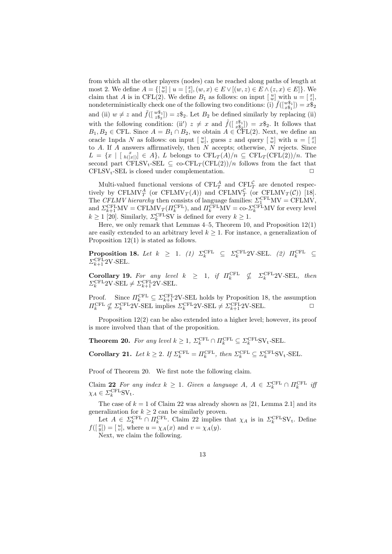from which all the other players (nodes) can be reached along paths of length at most 2. We define  $A = \{ [w] | u = [z], (w, x) \in E \vee [(w, z) \in E \wedge (z, x) \in E] \}$ . We claim that A is in CFL(2). We define  $B_1$  as follows: on input  $\begin{bmatrix} u \\ w \end{bmatrix}$  with  $u = \begin{bmatrix} x \\ z \end{bmatrix}$ , nondeterministically check one of the following two conditions: (i)  $\tilde{f}([x_{s_1}^{\mathcal{S}_1}]) = x \tilde{\mathcal{S}}_2$ and (ii)  $w \neq z$  and  $\tilde{f}(\begin{bmatrix} w\hat{\mathbb{S}}_1 \\ z\hat{\mathbb{S}}_2 \end{bmatrix}) = z\hat{\mathbb{S}}_2$ . Let  $B_2$  be defined similarly by replacing (ii) with the following condition: (ii)  $z \neq x$  and  $\tilde{f}(\begin{bmatrix} z\hat{\mathbb{S}}_1 \\ x\hat{\mathbb{S}}_2 \end{bmatrix}) = x\hat{\mathbb{S}}_2$ . It follows that  $B_1, B_2 \in \text{CFL}$ . Since  $A = B_1 \cap B_2$ , we obtain  $A \in \text{CFL}(2)$ . Next, we define an oracle 1npda N as follows: on input  $\left[\begin{array}{c}u\\w\end{array}\right]$ , guess z and query  $\left[\begin{array}{c}u\\w\end{array}\right]$  with  $u=\left[\begin{array}{c}x\\z\end{array}\right]$ to  $A$ . If  $A$  answers affirmatively, then  $N$  accepts; otherwise,  $N$  rejects. Since  $L = \{x \mid [h_{n(x)}(x)] \in A\}, L$  belongs to  $\text{CFL}_T(A)/n \subseteq \text{CFL}_T(\text{CFL}(2))/n$ . The second part CFLSV<sub>t</sub>-SEL  $\subseteq$  co-CFL<sub>T</sub>(CFL(2))/n follows from the fact that  $CFLSV_t-SEL$  is closed under complementation.

Multi-valued functional versions of  $\text{CFL}_T^A$  and  $\text{CFL}_T^C$  are denoted respectively by CFLMV $_T^A$  (or CFLMV $_T(A)$ ) and CFLMV $_T^C$  (or CFLMV $_T(\mathcal{C})$ ) [18]. The CFLMV hierarchy then consists of language families:  $\Sigma_1^{\text{CFL}}$ MV = CFLMV, and  $\Sigma_{k+1}^{\text{CFL}} \text{MV} = \text{CFLMV}_T(\Pi_k^{\text{CFL}})$ , and  $\Pi_k^{\text{CFL}} \text{MV} = \text{co-}\Sigma_k^{\text{CFL}} \text{MV}$  for every level  $k \ge 1$  [20]. Similarly,  $\Sigma_k^{\text{CFL}}$ SV is defined for every  $k \ge 1$ .

Here, we only remark that Lemmas 4–5, Theorem 10, and Proposition 12(1) are easily extended to an arbitrary level  $k \geq 1$ . For instance, a generalization of Proposition 12(1) is stated as follows.

**Proposition 18.** Let  $k \geq 1$ . (1)  $\Sigma_k^{\text{CFL}} \subseteq \Sigma_k^{\text{CFL}} 2V \text{-SEL}$ . (2)  $\Pi_k^{\text{CFL}} \subseteq$  $\Sigma_{k+1}^{\text{CFL}}$ 2V-SEL.

Corollary 19. For any level  $k \geq 1$ , if  $\Pi_k^{\text{CFL}} \nsubseteq \Sigma_k^{\text{CFL}} 2V \text{-SEL}$ , then  $\Sigma_k^{\text{CFL}}2\text{V}-\text{SEL}\neq\Sigma_{k+1}^{\text{CFL}}2\text{V}-\text{SEL}.$ 

Proof. Since  $\Pi_k^{\text{CFL}} \subseteq \Sigma_{k+1}^{\text{CFL}} 2V$ -SEL holds by Proposition 18, the assumption  $\Pi_k^{\text{CFL}} \nsubseteq \Sigma_k^{\text{CFL}} 2V\text{-SEL}$  implies  $\Sigma_k^{\text{CFL}} 2V\text{-SEL} \neq \Sigma_{k+1}^{\text{CFL}} 2V\text{-SEL}$ .

Proposition 12(2) can be also extended into a higher level; however, its proof is more involved than that of the proposition.

**Theorem 20.** For any level  $k \geq 1$ ,  $\Sigma_k^{\text{CFL}} \cap \Pi_k^{\text{CFL}} \subseteq \Sigma_k^{\text{CFL}} \text{SV}_t\text{-SEL}.$ 

Corollary 21. Let  $k \geq 2$ . If  $\Sigma_k^{\text{CFL}} = \Pi_k^{\text{CFL}}$ , then  $\Sigma_k^{\text{CFL}} \subseteq \Sigma_k^{\text{CFL}}$ SV<sub>t</sub>-SEL.

Proof of Theorem 20. We first note the following claim.

Claim 22 For any index  $k \geq 1$ . Given a language  $A, A \in \Sigma_k^{\text{CFL}} \cap \Pi_k^{\text{CFL}}$  if  $\chi_A \in \varSigma_k^{\text{CFL}} S \mathrm{V_t}.$ 

The case of  $k = 1$  of Claim 22 was already shown as [21, Lemma 2.1] and its generalization for  $k \geq 2$  can be similarly proven.

Let  $A \in \Sigma_k^{\text{CFL}} \cap \Pi_k^{\text{CFL}}$ . Claim 22 implies that  $\chi_A$  is in  $\Sigma_k^{\text{CFL}}SV_t$ . Define  $f([y^n]) = [y^n]$ , where  $u = \chi_A(x)$  and  $v = \chi_A(y)$ .

Next, we claim the following.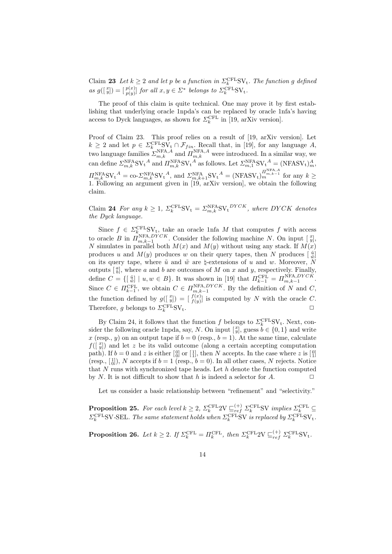Claim 23 Let  $k \geq 2$  and let p be a function in  $\Sigma_k^{\text{CFL}} S V_t$ . The function g defined as  $g([\begin{smallmatrix} x\ y\end{smallmatrix}]) = [\begin{smallmatrix} p(x)\ p(y) \end{smallmatrix}]$  for all  $x, y \in \Sigma^*$  belongs to  $\Sigma_k^{\text{CFL}} S V_t$ .

The proof of this claim is quite technical. One may prove it by first establishing that underlying oracle 1npda's can be replaced by oracle 1nfa's having access to Dyck languages, as shown for  $\Sigma_k^{\text{CFL}}$  in [19, arXiv version].

Proof of Claim 23. This proof relies on a result of [19, arXiv version]. Let  $k \geq 2$  and let  $p \in \sum_{k=1}^{CFL} SV_t \cap \mathcal{F}_{fin}$ . Recall that, in [19], for any language A, two language families  $\sum_{m,k}^{\text{NFA},A}$  and  $\Pi_{m,k}^{\text{NFA},A}$  were introduced. In a similar way, we can define  $\sum_{m,k}^{\text{NFA}}$ SV<sub>t</sub><sup>A</sup> and  $\prod_{m,k}^{\text{NFA}}$ SV<sub>t</sub><sup>A</sup> as follows. Let  $\sum_{m,1}^{\text{NFA}}$ SV<sub>t</sub><sup>A</sup> = (NFASV<sub>t</sub>)<sup>A</sup><sub>m</sub>,  $\Pi_{m,k}^{\text{NFA}}$ SV<sub>t</sub><sup>A</sup> = co- $\Sigma_{m,k}^{\text{NFA}}$ SV<sub>t</sub><sup>A</sup>, and  $\Sigma_{m,k+1}^{\text{NFA}}$ SV<sub>t</sub><sup>A</sup> = (NFASV<sub>t</sub>) $_m^{\Pi_{m,k-1}^{\text{NFA}},A}$  for any  $k \geq$ 1. Following an argument given in [19, arXiv version], we obtain the following claim.

Claim 24 For any  $k \geq 1$ ,  $\Sigma_k^{\text{CFL}} S V_t = \Sigma_{m,k}^{\text{NFA}} S V_t^{\text{DYCK}}$ , where DYCK denotes the Dyck language.

Since  $f \in \Sigma_k^{\text{CFL}}$  sv<sub>t</sub>, take an oracle 1nfa M that computes f with access to oracle B in  $\prod_{m,k=1}^{NFA,DYCK}$ . Consider the following machine N. On input  $\begin{bmatrix} x \\ y \end{bmatrix}$ , N simulates in parallel both  $M(x)$  and  $M(y)$  without using any stack. If  $M(x)$ produces u and  $M(y)$  produces w on their query tapes, then N produces  $\begin{bmatrix} \tilde{u} \\ \tilde{w} \end{bmatrix}$ on its query tape, where  $\tilde{u}$  and  $\tilde{w}$  are  $\natural$ -extensions of u and w. Moreover, N outputs  $\lbrack \begin{smallmatrix} a \\ b \end{smallmatrix} \rbrack$ , where a and b are outcomes of M on x and y, respectively. Finally, b define  $C = \{ [\begin{array}{c} \tilde{u} \\ \tilde{w} \end{array}] \mid u, w \in B \}$ . It was shown in [19] that  $\Pi_{k-1}^{\text{CFL}} = \Pi_{m,k-1}^{\text{NFA},DYCK}$ . Since  $C \in \Pi_{k-1}^{\text{CFL}}$ , we obtain  $C \in \Pi_{m,k-1}^{\text{NFA},DYCK}$ . By the definition of N and C, the function defined by  $g(\begin{bmatrix} x \\ y \end{bmatrix}) = \begin{bmatrix} f(x) \\ f(y) \end{bmatrix}$  is computed by N with the oracle C. Therefore, g belongs to  $\Sigma_k^{\text{CFL}}$  $SV_t$ .

By Claim 24, it follows that the function f belongs to  $\Sigma_k^{\text{CFL}}$ SV<sub>t</sub>. Next, consider the following oracle 1npda, say, N. On input  $\left[\frac{x}{y}\right]$ , guess  $\hat{b} \in \{0,1\}$  and write x (resp., y) on an output tape if  $b = 0$  (resp.,  $b = 1$ ). At the same time, calculate  $f(\begin{bmatrix} x \\ y \end{bmatrix})$  and let z be its valid outcome (along a certain accepting computation path). If  $b = 0$  and z is either  $\begin{bmatrix} 0 \\ 0 \end{bmatrix}$  or  $\begin{bmatrix} 1 \\ 1 \end{bmatrix}$ , then N accepts. In the case where z is  $\begin{bmatrix} 0 \\ 1 \end{bmatrix}$ (resp.,  $\begin{bmatrix} 1 \\ 0 \end{bmatrix}$ ), N accepts if  $b = 1$  (resp.,  $b = 0$ ). In all other cases, N rejects. Notice that  $N$  runs with synchronized tape heads. Let  $h$  denote the function computed by  $N$ . It is not difficult to show that  $h$  is indeed a selector for  $A$ .

Let us consider a basic relationship between "refinement" and "selectivity."

**Proposition 25.** For each level  $k \geq 2$ ,  $\Sigma_k^{\text{CFL}} 2V \sqsubseteq_{ref}^{(+)} \Sigma_k^{\text{CFL}} SV$  implies  $\Sigma_k^{\text{CFL}} \subseteq$  $\Sigma_k^{\text{CFL}}$ SV-SEL. The same statement holds when  $\Sigma_k^{\text{CFL}}$ SV is replaced by  $\Sigma_k^{\text{CFL}}$ SV<sub>t</sub>.

**Proposition 26.** Let  $k \geq 2$ . If  $\Sigma_k^{\text{CFL}} = \Pi_k^{\text{CFL}}$ , then  $\Sigma_k^{\text{CFL}} 2V \sqsubseteq_{ref}^{(+)} \Sigma_k^{\text{CFL}} S V_t$ .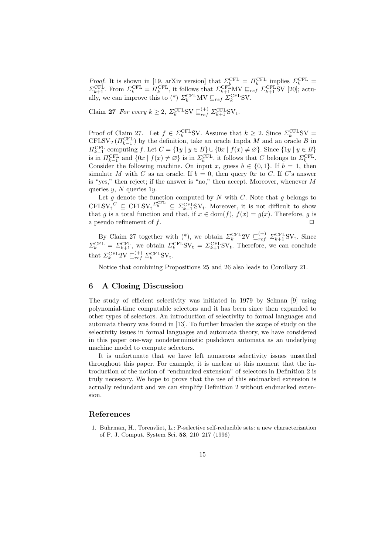Proof. It is shown in [19, arXiv version] that  $\Sigma_k^{\text{CFL}} = \Pi_k^{\text{CFL}}$  implies  $\Sigma_k^{\text{CFL}} =$  $\Sigma_{k+1}^{\text{CFL}}$ . From  $\Sigma_k^{\text{CFL}} = \Pi_k^{\text{CFL}}$ , it follows that  $\Sigma_{k+1}^{\text{CFL}} \text{MV} \sqsubseteq_{ref} \Sigma_{k+1}^{\text{CFL}} \text{SV}$  [20]; actually, we can improve this to (\*)  $\Sigma_k^{\text{CFL}} \text{MV} \sqsubseteq_{ref} \Sigma_k^{\text{CFL}} \text{SV}$ .

Claim 27 For every  $k \geq 2$ ,  $\Sigma_k^{\text{CFL}} S V \sqsubseteq_{ref}^{(+)} \Sigma_{k+1}^{\text{CFL}} S V_t$ .

Proof of Claim 27. Let  $f \in \Sigma_k^{\text{CFL}}$ SV. Assume that  $k \geq 2$ . Since  $\Sigma_k^{\text{CFL}}$ SV = CFLSV<sub>T</sub>( $\Pi_{k-1}^{\text{CFL}}$ ) by the definition, take an oracle 1npda M and an oracle B in  $H_{k-1}^{\text{CFL}}$  computing f. Let  $C = \{1y \mid y \in B\} \cup \{0x \mid f(x) \neq \emptyset\}$ . Since  $\{1y \mid y \in B\}$ is in  $\Pi_{k-1}^{\text{CFL}}$  and  $\{0x \mid f(x) \neq \emptyset\}$  is in  $\Sigma_k^{\text{CFL}}$ , it follows that C belongs to  $\Sigma_k^{\text{CFL}}$ . Consider the following machine. On input x, guess  $b \in \{0, 1\}$ . If  $b = 1$ , then simulate M with C as an oracle. If  $b = 0$ , then query 0x to C. If C's answer is "yes," then reject; if the answer is "no," then accept. Moreover, whenever M queries  $y$ , N queries  $1y$ .

Let g denote the function computed by  $N$  with  $C$ . Note that g belongs to  $\text{CFLSV}_{\text{t}}^C \subseteq \text{CFLSV}_{\text{t}}^{\Sigma_{k}^{\text{CFL}}}\subseteq \Sigma_{k+1}^{\text{CFL}}\text{SV}_{\text{t}}$ . Moreover, it is not difficult to show that g is a total function and that, if  $x \in \text{dom}(f)$ ,  $f(x) = g(x)$ . Therefore, g is a pseudo refinement of  $f$ .

By Claim 27 together with (\*), we obtain  $\Sigma_k^{\text{CFL}} 2V \sqsubseteq_{ref}^{(+)} \Sigma_{k+1}^{\text{CFL}} SV_t$ . Since  $\Sigma_k^{\text{CFL}} = \Sigma_{k+1}^{\text{CFL}}$ , we obtain  $\Sigma_k^{\text{CFL}} S V_t = \Sigma_{k+1}^{\text{CFL}} S V_t$ . Therefore, we can conclude that  $\Sigma_k^{\text{CFL}} 2V \sqsubseteq_{ref}^{(+)} \Sigma_k^{\text{CFL}} S V_t$ .

Notice that combining Propositions 25 and 26 also leads to Corollary 21.

### 6 A Closing Discussion

The study of efficient selectivity was initiated in 1979 by Selman [9] using polynomial-time computable selectors and it has been since then expanded to other types of selectors. An introduction of selectivity to formal languages and automata theory was found in [13]. To further broaden the scope of study on the selectivity issues in formal languages and automata theory, we have considered in this paper one-way nondeterministic pushdown automata as an underlying machine model to compute selectors.

It is unfortunate that we have left numerous selectivity issues unsettled throughout this paper. For example, it is unclear at this moment that the introduction of the notion of "endmarked extension" of selectors in Definition 2 is truly necessary. We hope to prove that the use of this endmarked extension is actually redundant and we can simplify Definition 2 without endmarked extension.

## References

1. Buhrman, H., Torenvliet, L.: P-selective self-reducible sets: a new characterization of P. J. Comput. System Sci. 53, 210–217 (1996)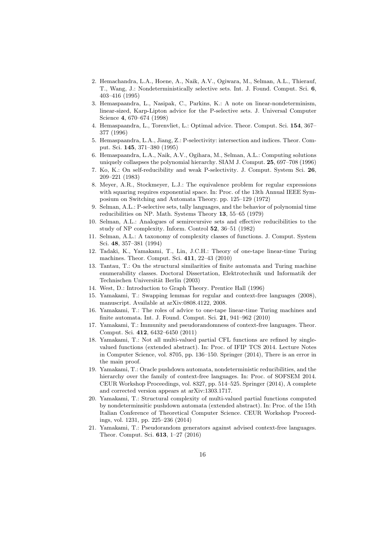- 2. Hemachandra, L.A., Hoene, A., Naik, A.V., Ogiwara, M., Selman, A.L., Thierauf, T., Wang, J.: Nondeterministically selective sets. Int. J. Found. Comput. Sci. 6, 403–416 (1995)
- 3. Hemaspaandra, L., Nasipak, C., Parkins, K.: A note on linear-nondeterminism, linear-sized, Karp-Lipton advice for the P-selective sets. J. Universal Computer Science 4, 670–674 (1998)
- 4. Hemaspaandra, L., Torenvliet, L.: Optimal advice. Theor. Comput. Sci. 154, 367– 377 (1996)
- 5. Hemaspaandra, L.A., Jiang, Z.: P-selectivity: intersection and indices. Theor. Comput. Sci. 145, 371–380 (1995)
- 6. Hemaspaandra, L.A., Naik, A.V., Ogihara, M., Selman, A.L.: Computing solutions uniquely collaspses the polynomial hierarchy. SIAM J. Comput. 25, 697–708 (1996)
- 7. Ko, K.: On self-reducibility and weak P-selectivity. J. Comput. System Sci. 26, 209–221 (1983)
- 8. Meyer, A.R., Stockmeyer, L.J.: The equivalence problem for regular expressions with squaring requires exponential space. In: Proc. of the 13th Annual IEEE Symposium on Switching and Automata Theory. pp. 125–129 (1972)
- 9. Selman, A.L.: P-selective sets, tally languages, and the behavior of polynomial time reducibilities on NP. Math. Systems Theory 13, 55–65 (1979)
- 10. Selman, A.L.: Analogues of semirecursive sets and effective reducibilities to the study of NP complexity. Inform. Control 52, 36–51 (1982)
- 11. Selman, A.L.: A taxonomy of complexity classes of functions. J. Comput. System Sci. 48, 357–381 (1994)
- 12. Tadaki, K., Yamakami, T., Lin, J.C.H.: Theory of one-tape linear-time Turing machines. Theor. Comput. Sci. 411, 22–43 (2010)
- 13. Tantau, T.: On the structural similarities of finite automata and Turing machine enumerability classes. Doctoral Dissertation, Elektrotechnik und Informatik der Technischen Universität Berlin (2003)
- 14. West, D.: Introduction to Graph Theory. Prentice Hall (1996)
- 15. Yamakami, T.: Swapping lemmas for regular and context-free languages (2008), manuscript. Available at arXiv:0808.4122, 2008.
- 16. Yamakami, T.: The roles of advice to one-tape linear-time Turing machines and finite automata. Int. J. Found. Comput. Sci. 21, 941–962 (2010)
- 17. Yamakami, T.: Immunity and pseudorandomness of context-free languages. Theor. Comput. Sci. 412, 6432–6450 (2011)
- 18. Yamakami, T.: Not all multi-valued partial CFL functions are refined by singlevalued functions (extended abstract). In: Proc. of IFIP TCS 2014. Lecture Notes in Computer Science, vol. 8705, pp. 136–150. Springer (2014), There is an error in the main proof.
- 19. Yamakami, T.: Oracle pushdown automata, nondeterministic reducibilities, and the hierarchy over the family of context-free languages. In: Proc. of SOFSEM 2014. CEUR Workshop Proceedings, vol. 8327, pp. 514–525. Springer (2014), A complete and corrected version appears at arXiv:1303.1717.
- 20. Yamakami, T.: Structural complexity of multi-valued partial functions computed by nondeterminsitic pushdown automata (extended abstract). In: Proc. of the 15th Italian Conference of Theoretical Computer Science. CEUR Workshop Proceedings, vol. 1231, pp. 225–236 (2014)
- 21. Yamakami, T.: Pseudorandom generators against advised context-free languages. Theor. Comput. Sci. 613, 1–27 (2016)